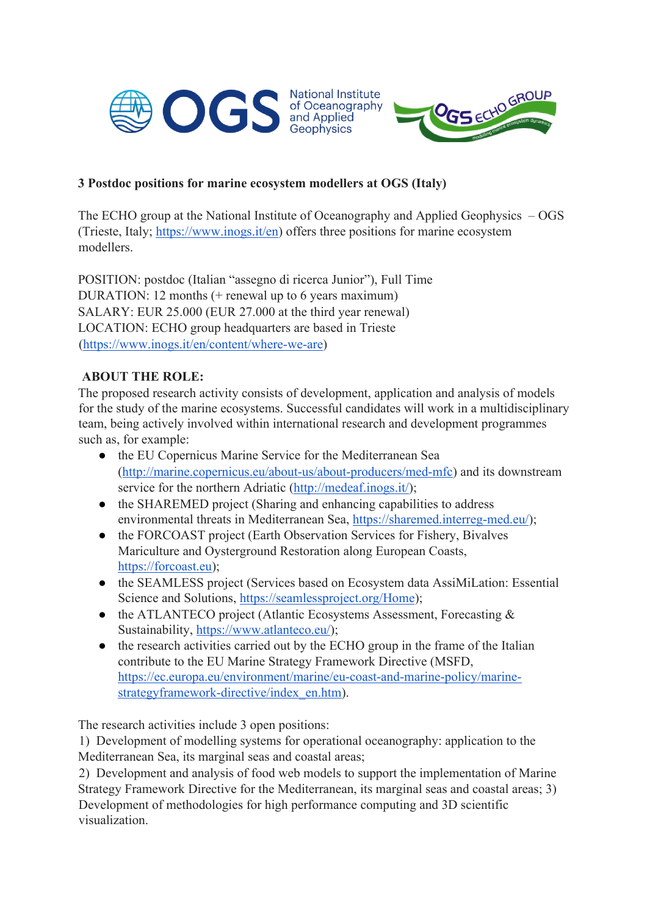



# **3 Postdoc positions for marine ecosystem modellers at OGS (Italy)**

The ECHO group at the National Institute of Oceanography and Applied Geophysics – OGS (Trieste, Italy; https://www.inogs.it/en) offers three positions for marine ecosystem modellers.

POSITION: postdoc (Italian "assegno di ricerca Junior"), Full Time DURATION: 12 months (+ renewal up to 6 years maximum) SALARY: EUR 25.000 (EUR 27.000 at the third year renewal) LOCATION: ECHO group headquarters are based in Trieste (https://www.inogs.it/en/content/where-we-are)

# **ABOUT THE ROLE:**

The proposed research activity consists of development, application and analysis of models for the study of the marine ecosystems. Successful candidates will work in a multidisciplinary team, being actively involved within international research and development programmes such as, for example:

- the EU Copernicus Marine Service for the Mediterranean Sea (http://marine.copernicus.eu/about-us/about-producers/med-mfc) and its downstream service for the northern Adriatic (http://medeaf.inogs.it/);
- the SHAREMED project (Sharing and enhancing capabilities to address environmental threats in Mediterranean Sea, https://sharemed.interreg-med.eu/);
- the FORCOAST project (Earth Observation Services for Fishery, Bivalves Mariculture and Oysterground Restoration along European Coasts, https://forcoast.eu);
- the SEAMLESS project (Services based on Ecosystem data AssiMiLation: Essential Science and Solutions, https://seamlessproject.org/Home);
- the ATLANTECO project (Atlantic Ecosystems Assessment, Forecasting & Sustainability, https://www.atlanteco.eu/);
- the research activities carried out by the ECHO group in the frame of the Italian contribute to the EU Marine Strategy Framework Directive (MSFD, https://ec.europa.eu/environment/marine/eu-coast-and-marine-policy/marinestrategyframework-directive/index\_en.htm).

The research activities include 3 open positions:

1) Development of modelling systems for operational oceanography: application to the Mediterranean Sea, its marginal seas and coastal areas;

2) Development and analysis of food web models to support the implementation of Marine Strategy Framework Directive for the Mediterranean, its marginal seas and coastal areas; 3) Development of methodologies for high performance computing and 3D scientific visualization.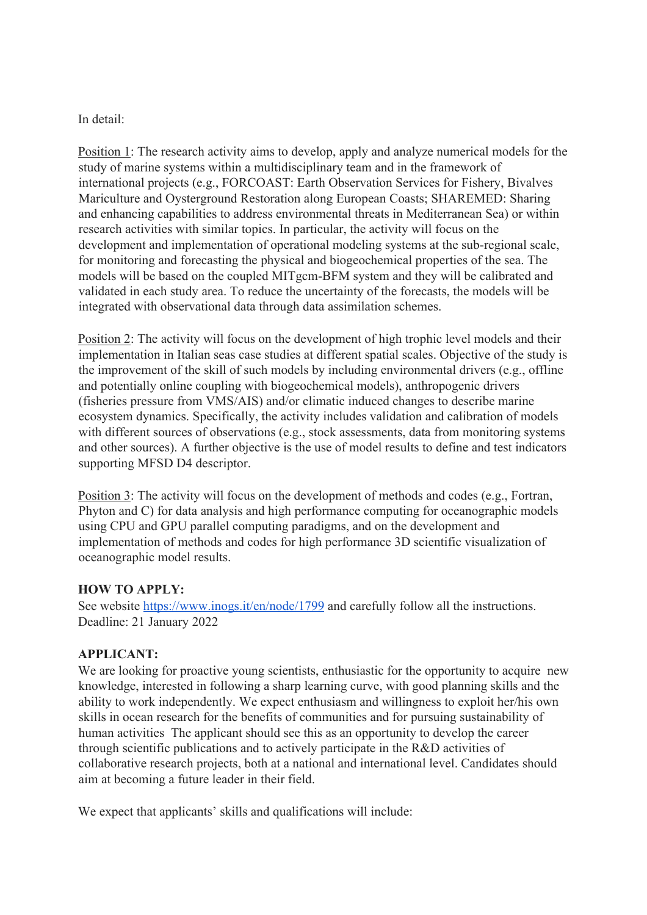In detail:

Position 1: The research activity aims to develop, apply and analyze numerical models for the study of marine systems within a multidisciplinary team and in the framework of international projects (e.g., FORCOAST: Earth Observation Services for Fishery, Bivalves Mariculture and Oysterground Restoration along European Coasts; SHAREMED: Sharing and enhancing capabilities to address environmental threats in Mediterranean Sea) or within research activities with similar topics. In particular, the activity will focus on the development and implementation of operational modeling systems at the sub-regional scale, for monitoring and forecasting the physical and biogeochemical properties of the sea. The models will be based on the coupled MITgcm-BFM system and they will be calibrated and validated in each study area. To reduce the uncertainty of the forecasts, the models will be integrated with observational data through data assimilation schemes.

Position 2: The activity will focus on the development of high trophic level models and their implementation in Italian seas case studies at different spatial scales. Objective of the study is the improvement of the skill of such models by including environmental drivers (e.g., offline and potentially online coupling with biogeochemical models), anthropogenic drivers (fisheries pressure from VMS/AIS) and/or climatic induced changes to describe marine ecosystem dynamics. Specifically, the activity includes validation and calibration of models with different sources of observations (e.g., stock assessments, data from monitoring systems and other sources). A further objective is the use of model results to define and test indicators supporting MFSD D4 descriptor.

Position 3: The activity will focus on the development of methods and codes (e.g., Fortran, Phyton and C) for data analysis and high performance computing for oceanographic models using CPU and GPU parallel computing paradigms, and on the development and implementation of methods and codes for high performance 3D scientific visualization of oceanographic model results.

## **HOW TO APPLY:**

See website https://www.inogs.it/en/node/1799 and carefully follow all the instructions. Deadline: 21 January 2022

#### **APPLICANT:**

We are looking for proactive young scientists, enthusiastic for the opportunity to acquire new knowledge, interested in following a sharp learning curve, with good planning skills and the ability to work independently. We expect enthusiasm and willingness to exploit her/his own skills in ocean research for the benefits of communities and for pursuing sustainability of human activities The applicant should see this as an opportunity to develop the career through scientific publications and to actively participate in the R&D activities of collaborative research projects, both at a national and international level. Candidates should aim at becoming a future leader in their field.

We expect that applicants' skills and qualifications will include: